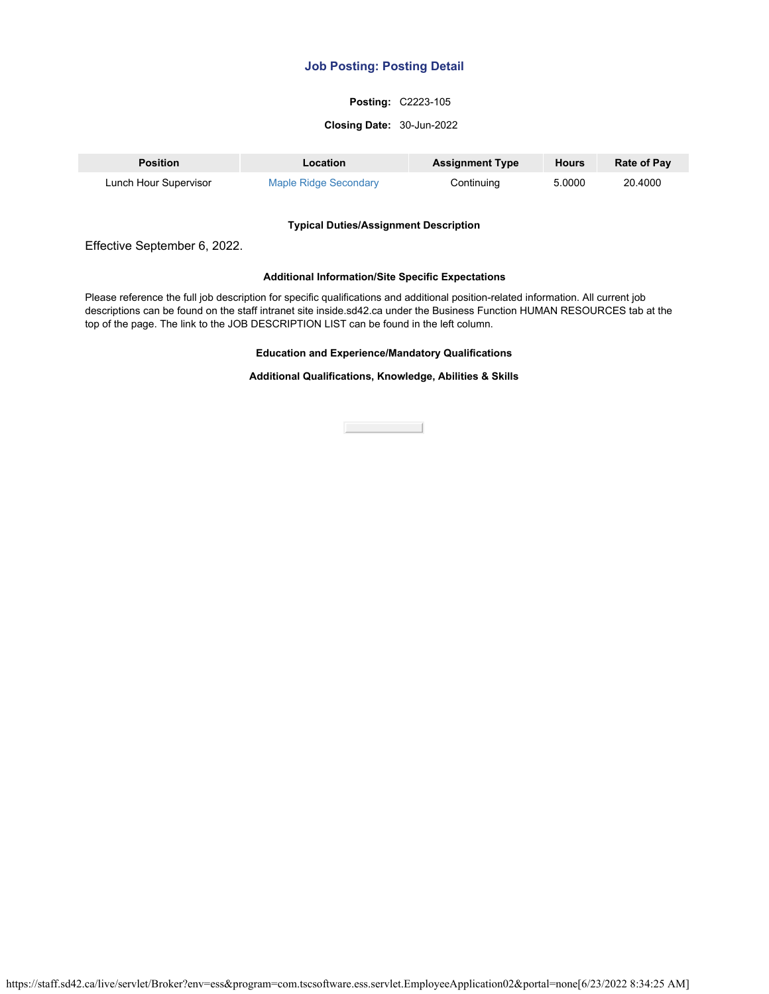### **Posting:** C2223-105

#### **Closing Date:** 30-Jun-2022

| <b>Position</b>       | Location              | <b>Assignment Type</b> | <b>Hours</b> | <b>Rate of Pay</b> |
|-----------------------|-----------------------|------------------------|--------------|--------------------|
| Lunch Hour Supervisor | Maple Ridge Secondary | Continuing             | 5.0000       | 20.4000            |

#### **Typical Duties/Assignment Description**

Effective September 6, 2022.

## **Additional Information/Site Specific Expectations**

Please reference the full job description for specific qualifications and additional position-related information. All current job descriptions can be found on the staff intranet site inside.sd42.ca under the Business Function HUMAN RESOURCES tab at the top of the page. The link to the JOB DESCRIPTION LIST can be found in the left column.

#### **Education and Experience/Mandatory Qualifications**

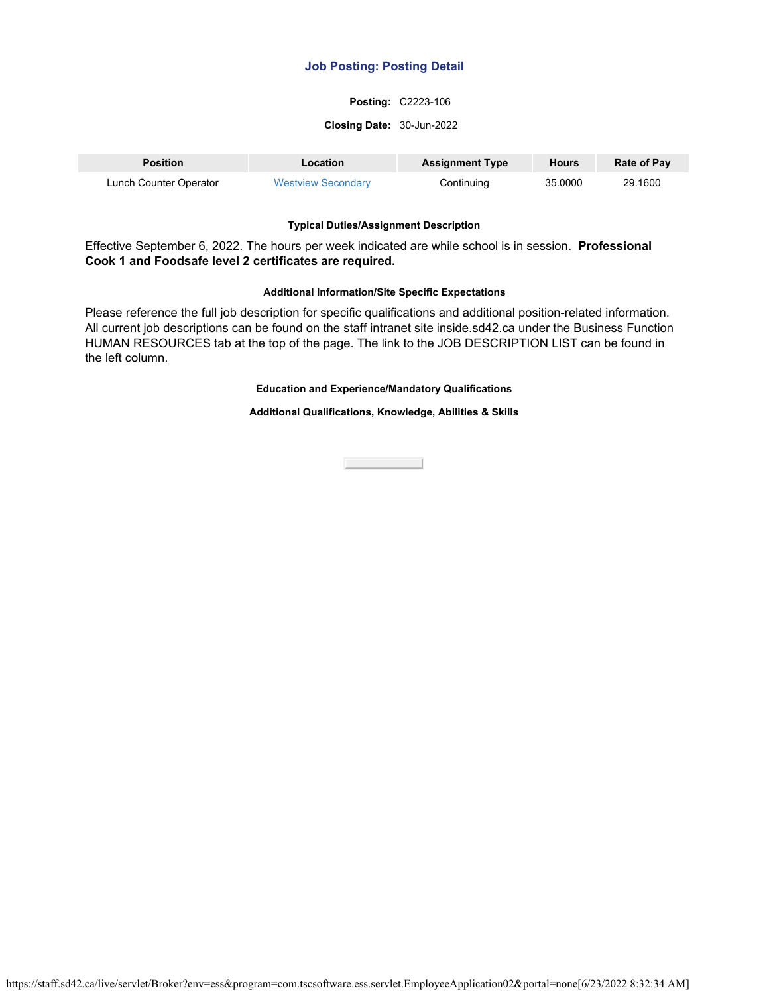## **Posting:** C2223-106

#### **Closing Date:** 30-Jun-2022

| <b>Position</b>        | Location                  | <b>Assignment Type</b> | <b>Hours</b> | <b>Rate of Pay</b> |
|------------------------|---------------------------|------------------------|--------------|--------------------|
| Lunch Counter Operator | <b>Westview Secondary</b> | Continuing             | 35,0000      | 29.1600            |

#### **Typical Duties/Assignment Description**

Effective September 6, 2022. The hours per week indicated are while school is in session. **Professional Cook 1 and Foodsafe level 2 certificates are required.**

#### **Additional Information/Site Specific Expectations**

Please reference the full job description for specific qualifications and additional position-related information. All current job descriptions can be found on the staff intranet site inside.sd42.ca under the Business Function HUMAN RESOURCES tab at the top of the page. The link to the JOB DESCRIPTION LIST can be found in the left column.

## **Education and Experience/Mandatory Qualifications**

### **Additional Qualifications, Knowledge, Abilities & Skills**

**Close Contract**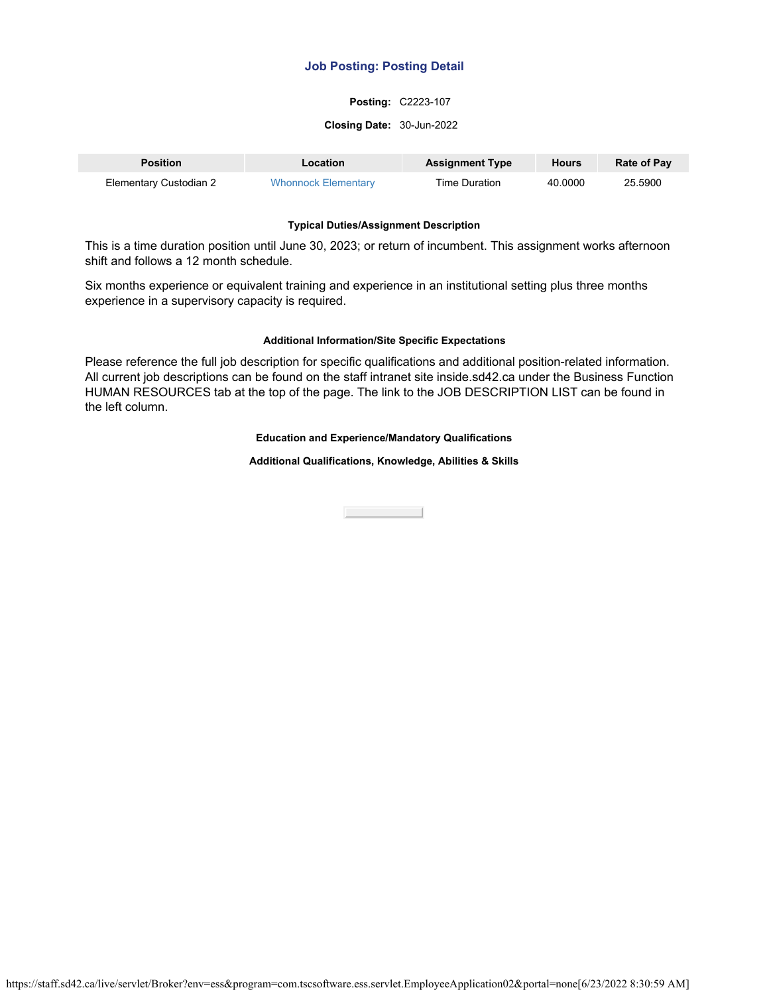## **Posting:** C2223-107

#### **Closing Date:** 30-Jun-2022

| <b>Position</b>        | <b>Location</b>            | <b>Assignment Type</b> | <b>Hours</b> | <b>Rate of Pay</b> |
|------------------------|----------------------------|------------------------|--------------|--------------------|
| Elementary Custodian 2 | <b>Whonnock Elementary</b> | Time Duration          | 40.0000      | 25.5900            |

### **Typical Duties/Assignment Description**

This is a time duration position until June 30, 2023; or return of incumbent. This assignment works afternoon shift and follows a 12 month schedule.

Six months experience or equivalent training and experience in an institutional setting plus three months experience in a supervisory capacity is required.

### **Additional Information/Site Specific Expectations**

Please reference the full job description for specific qualifications and additional position-related information. All current job descriptions can be found on the staff intranet site inside.sd42.ca under the Business Function HUMAN RESOURCES tab at the top of the page. The link to the JOB DESCRIPTION LIST can be found in the left column.

### **Education and Experience/Mandatory Qualifications**

**Additional Qualifications, Knowledge, Abilities & Skills**

**Close Contract**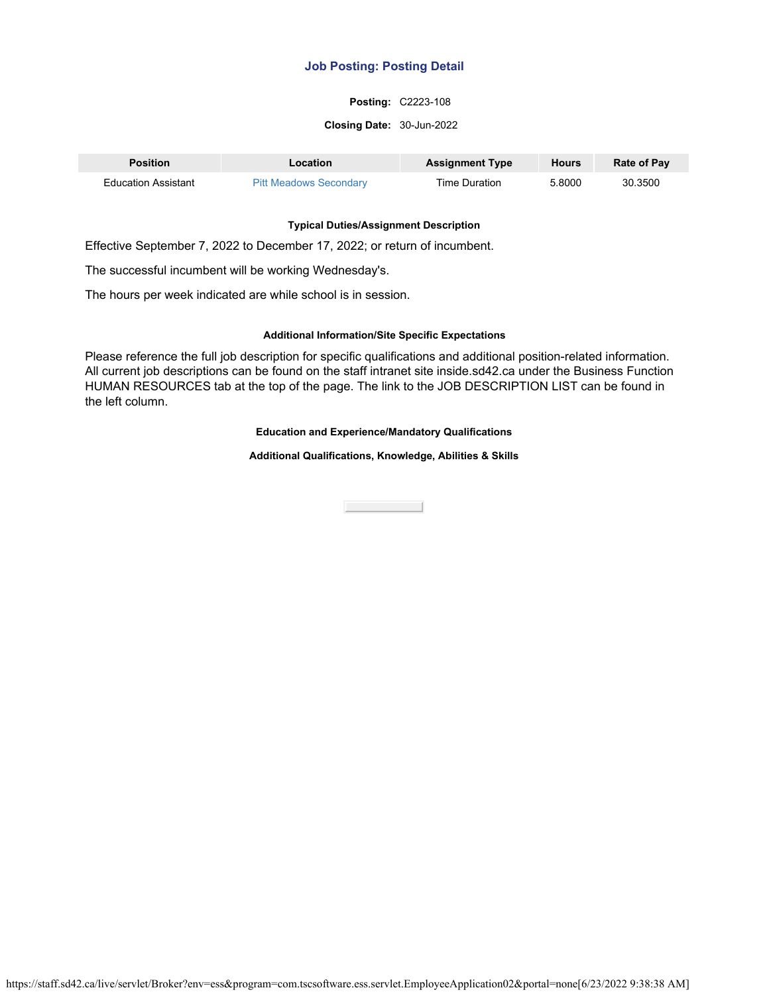## **Posting:** C2223-108

#### **Closing Date:** 30-Jun-2022

| <b>Position</b>     | Location                      | <b>Assignment Type</b> | <b>Hours</b> | <b>Rate of Pay</b> |
|---------------------|-------------------------------|------------------------|--------------|--------------------|
| Education Assistant | <b>Pitt Meadows Secondary</b> | Time Duration          | 5.8000       | 30.3500            |

### **Typical Duties/Assignment Description**

Effective September 7, 2022 to December 17, 2022; or return of incumbent.

The successful incumbent will be working Wednesday's.

The hours per week indicated are while school is in session.

## **Additional Information/Site Specific Expectations**

Please reference the full job description for specific qualifications and additional position-related information. All current job descriptions can be found on the staff intranet site inside.sd42.ca under the Business Function HUMAN RESOURCES tab at the top of the page. The link to the JOB DESCRIPTION LIST can be found in the left column.

### **Education and Experience/Mandatory Qualifications**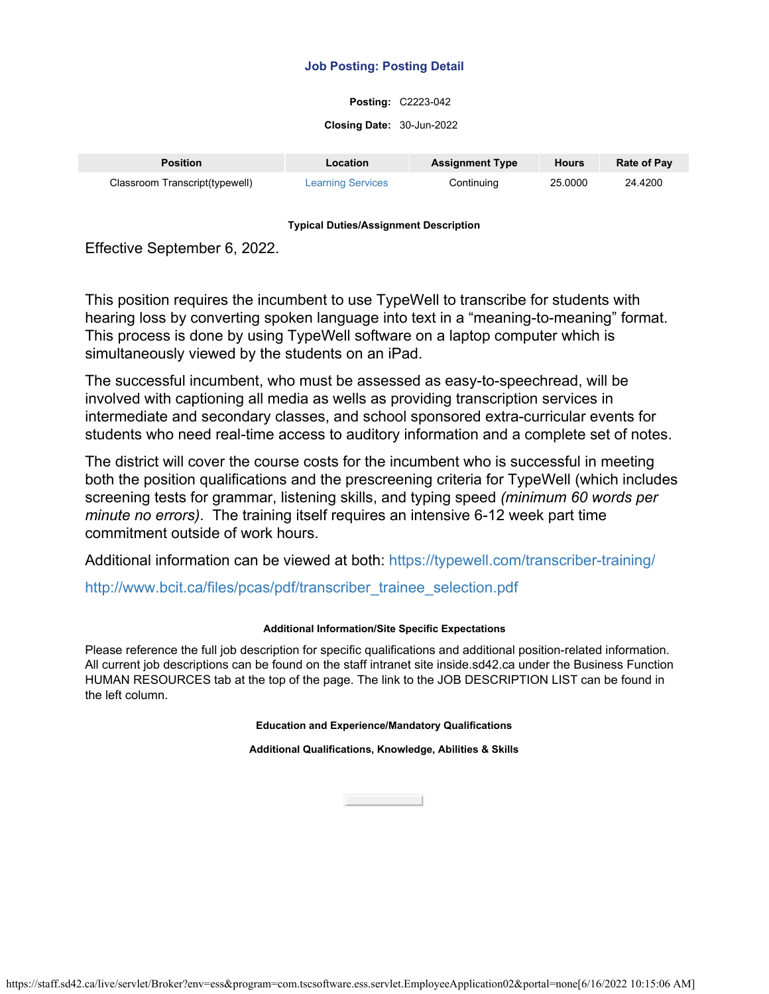**Posting:** C2223-042

**Closing Date:** 30-Jun-2022

| <b>Position</b>                | Location                 | <b>Assignment Type</b> | <b>Hours</b> | <b>Rate of Pay</b> |
|--------------------------------|--------------------------|------------------------|--------------|--------------------|
| Classroom Transcript(typewell) | <b>Learning Services</b> | Continuing             | 25,0000      | 24.4200            |

## **Typical Duties/Assignment Description**

Effective September 6, 2022.

This position requires the incumbent to use TypeWell to transcribe for students with hearing loss by converting spoken language into text in a "meaning-to-meaning" format. This process is done by using TypeWell software on a laptop computer which is simultaneously viewed by the students on an iPad.

The successful incumbent, who must be assessed as easy-to-speechread, will be involved with captioning all media as wells as providing transcription services in intermediate and secondary classes, and school sponsored extra-curricular events for students who need real-time access to auditory information and a complete set of notes.

The district will cover the course costs for the incumbent who is successful in meeting both the position qualifications and the prescreening criteria for TypeWell (which includes screening tests for grammar, listening skills, and typing speed *(minimum 60 words per minute no errors)*. The training itself requires an intensive 6-12 week part time commitment outside of work hours.

Additional information can be viewed at both:<https://typewell.com/transcriber-training/>

[http://www.bcit.ca/files/pcas/pdf/transcriber\\_trainee\\_selection.pdf](http://www.bcit.ca/files/pcas/pdf/transcriber_trainee_selection.pdf)

# **Additional Information/Site Specific Expectations**

Please reference the full job description for specific qualifications and additional position-related information. All current job descriptions can be found on the staff intranet site inside.sd42.ca under the Business Function HUMAN RESOURCES tab at the top of the page. The link to the JOB DESCRIPTION LIST can be found in the left column.

**Education and Experience/Mandatory Qualifications**

**Additional Qualifications, Knowledge, Abilities & Skills**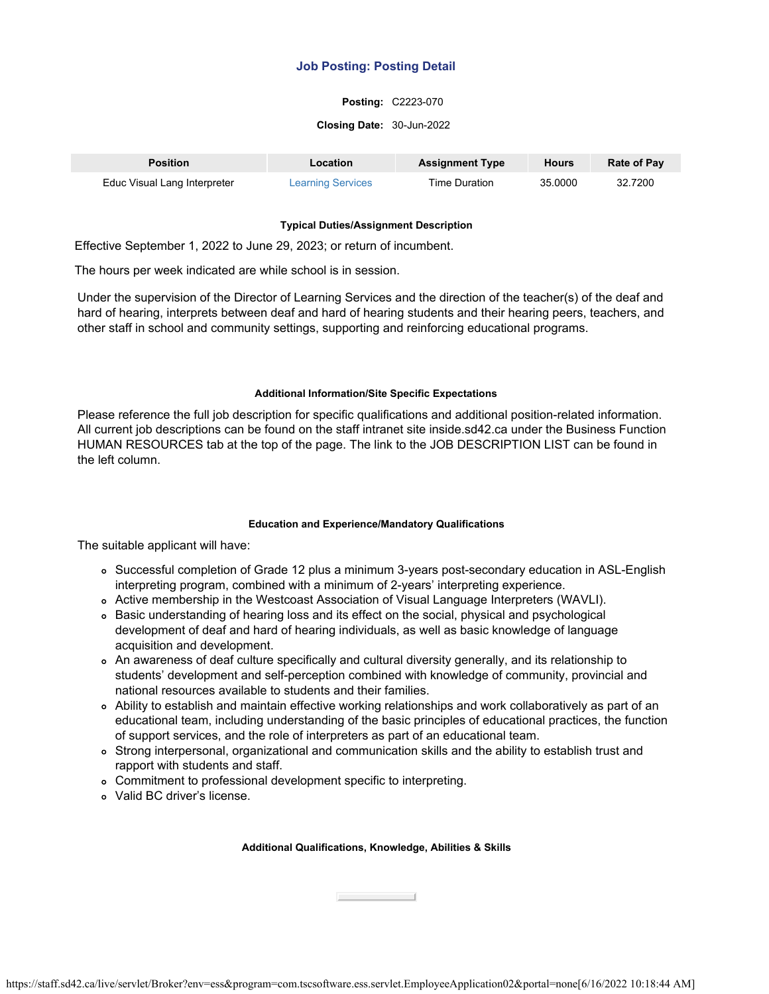## **Posting:** C2223-070

### **Closing Date:** 30-Jun-2022

| <b>Position</b>              | <b>Location</b>          | <b>Assignment Type</b> | <b>Hours</b> | Rate of Pay |
|------------------------------|--------------------------|------------------------|--------------|-------------|
| Educ Visual Lang Interpreter | <b>Learning Services</b> | Time Duration          | 35,0000      | 32.7200     |

## **Typical Duties/Assignment Description**

Effective September 1, 2022 to June 29, 2023; or return of incumbent.

The hours per week indicated are while school is in session.

Under the supervision of the Director of Learning Services and the direction of the teacher(s) of the deaf and hard of hearing, interprets between deaf and hard of hearing students and their hearing peers, teachers, and other staff in school and community settings, supporting and reinforcing educational programs.

## **Additional Information/Site Specific Expectations**

Please reference the full job description for specific qualifications and additional position-related information. All current job descriptions can be found on the staff intranet site inside.sd42.ca under the Business Function HUMAN RESOURCES tab at the top of the page. The link to the JOB DESCRIPTION LIST can be found in the left column.

## **Education and Experience/Mandatory Qualifications**

The suitable applicant will have:

- Successful completion of Grade 12 plus a minimum 3-years post-secondary education in ASL-English interpreting program, combined with a minimum of 2-years' interpreting experience.
- Active membership in the Westcoast Association of Visual Language Interpreters (WAVLI).
- o Basic understanding of hearing loss and its effect on the social, physical and psychological development of deaf and hard of hearing individuals, as well as basic knowledge of language acquisition and development.
- An awareness of deaf culture specifically and cultural diversity generally, and its relationship to students' development and self-perception combined with knowledge of community, provincial and national resources available to students and their families.
- Ability to establish and maintain effective working relationships and work collaboratively as part of an educational team, including understanding of the basic principles of educational practices, the function of support services, and the role of interpreters as part of an educational team.
- Strong interpersonal, organizational and communication skills and the ability to establish trust and rapport with students and staff.
- Commitment to professional development specific to interpreting.
- Valid BC driver's license.

## **Additional Qualifications, Knowledge, Abilities & Skills**

Close

https://staff.sd42.ca/live/servlet/Broker?env=ess&program=com.tscsoftware.ess.servlet.EmployeeApplication02&portal=none[6/16/2022 10:18:44 AM]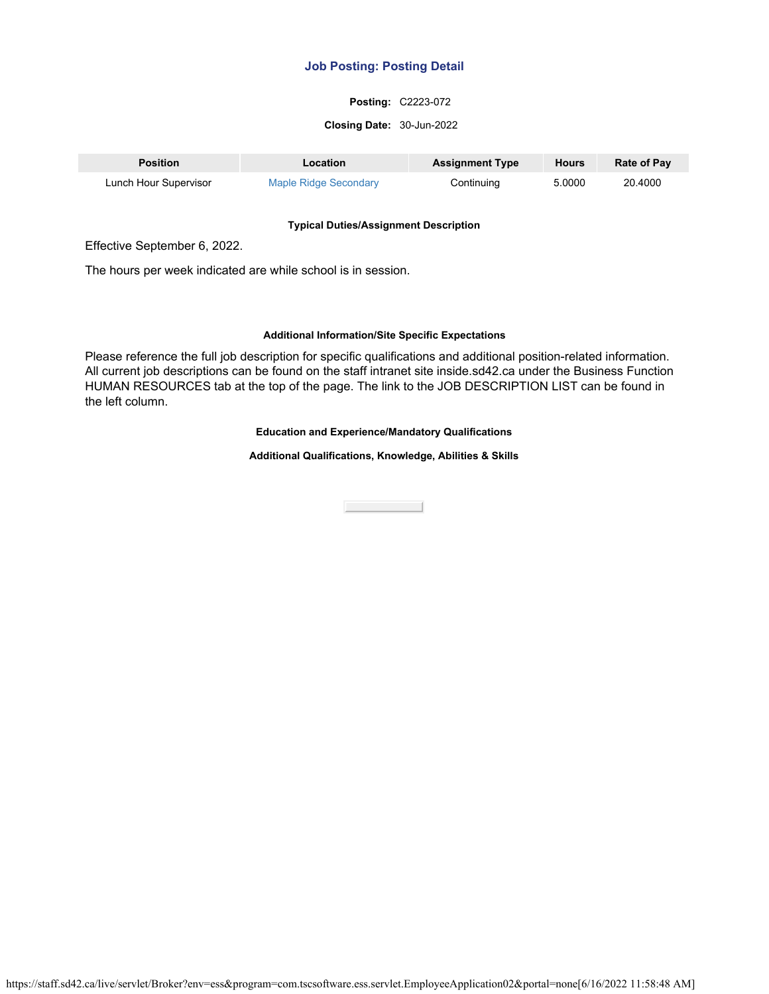## **Posting:** C2223-072

#### **Closing Date:** 30-Jun-2022

| <b>Position</b>       | Location              | <b>Assignment Type</b> | <b>Hours</b> | <b>Rate of Pay</b> |
|-----------------------|-----------------------|------------------------|--------------|--------------------|
| Lunch Hour Supervisor | Maple Ridge Secondary | Continuing             | 5.0000       | 20.4000            |

#### **Typical Duties/Assignment Description**

Effective September 6, 2022.

The hours per week indicated are while school is in session.

#### **Additional Information/Site Specific Expectations**

Please reference the full job description for specific qualifications and additional position-related information. All current job descriptions can be found on the staff intranet site inside.sd42.ca under the Business Function HUMAN RESOURCES tab at the top of the page. The link to the JOB DESCRIPTION LIST can be found in the left column.

### **Education and Experience/Mandatory Qualifications**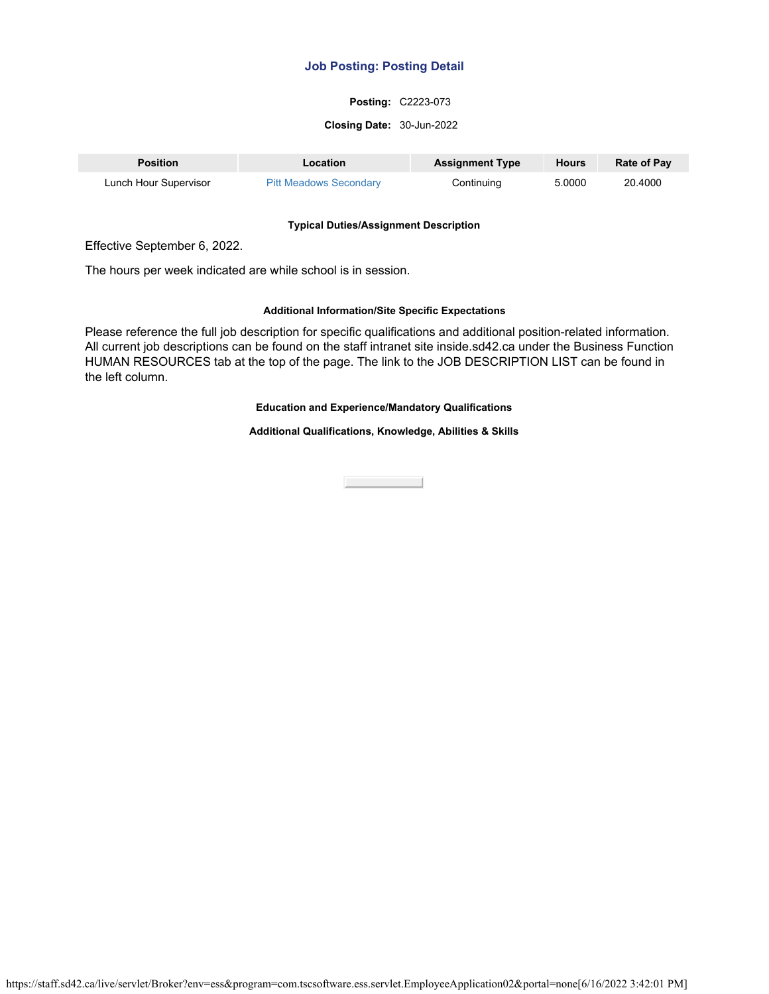## **Posting:** C2223-073

#### **Closing Date:** 30-Jun-2022

| <b>Position</b>       | Location                      | <b>Assignment Type</b> | <b>Hours</b> | <b>Rate of Pay</b> |
|-----------------------|-------------------------------|------------------------|--------------|--------------------|
| Lunch Hour Supervisor | <b>Pitt Meadows Secondary</b> | Continuing             | 5.0000       | 20.4000            |

#### **Typical Duties/Assignment Description**

Effective September 6, 2022.

The hours per week indicated are while school is in session.

#### **Additional Information/Site Specific Expectations**

Please reference the full job description for specific qualifications and additional position-related information. All current job descriptions can be found on the staff intranet site inside.sd42.ca under the Business Function HUMAN RESOURCES tab at the top of the page. The link to the JOB DESCRIPTION LIST can be found in the left column.

## **Education and Experience/Mandatory Qualifications**

**Additional Qualifications, Knowledge, Abilities & Skills**

Close the Close

https://staff.sd42.ca/live/servlet/Broker?env=ess&program=com.tscsoftware.ess.servlet.EmployeeApplication02&portal=none[6/16/2022 3:42:01 PM]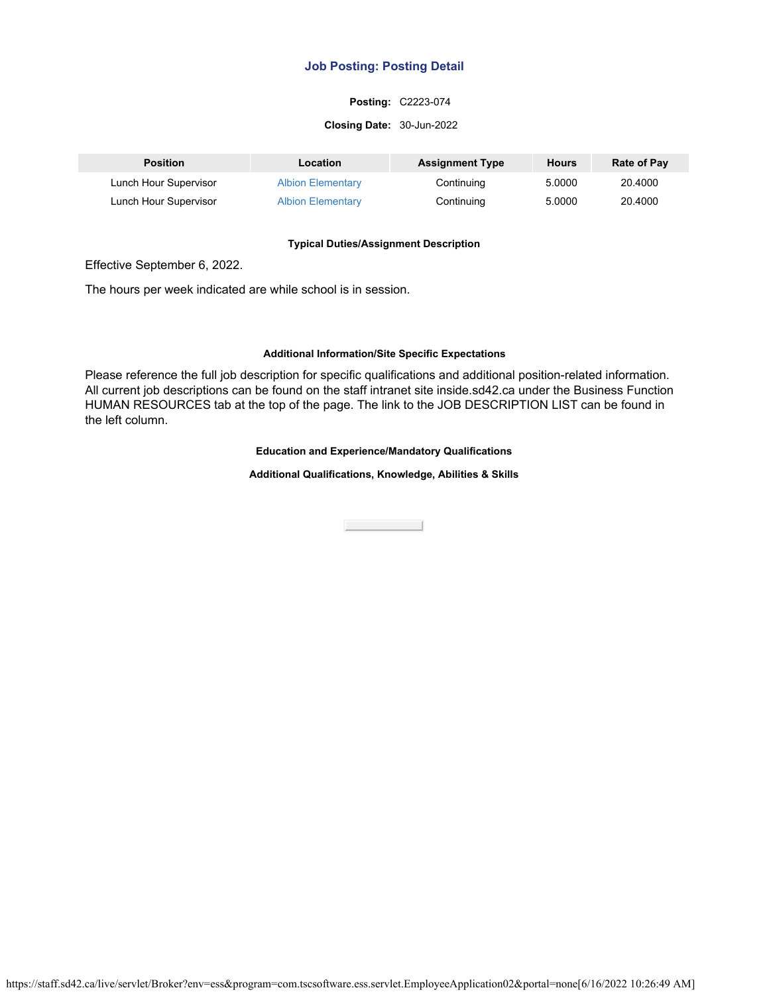## **Posting:** C2223-074

#### **Closing Date:** 30-Jun-2022

| <b>Position</b>       | Location                 | <b>Assignment Type</b> | Hours  | <b>Rate of Pay</b> |
|-----------------------|--------------------------|------------------------|--------|--------------------|
| Lunch Hour Supervisor | <b>Albion Elementary</b> | Continuing             | 5.0000 | 20,4000            |
| Lunch Hour Supervisor | <b>Albion Elementary</b> | Continuing             | 5.0000 | 20,4000            |

#### **Typical Duties/Assignment Description**

Effective September 6, 2022.

The hours per week indicated are while school is in session.

### **Additional Information/Site Specific Expectations**

Please reference the full job description for specific qualifications and additional position-related information. All current job descriptions can be found on the staff intranet site inside.sd42.ca under the Business Function HUMAN RESOURCES tab at the top of the page. The link to the JOB DESCRIPTION LIST can be found in the left column.

### **Education and Experience/Mandatory Qualifications**

**Additional Qualifications, Knowledge, Abilities & Skills**

**Close Contract**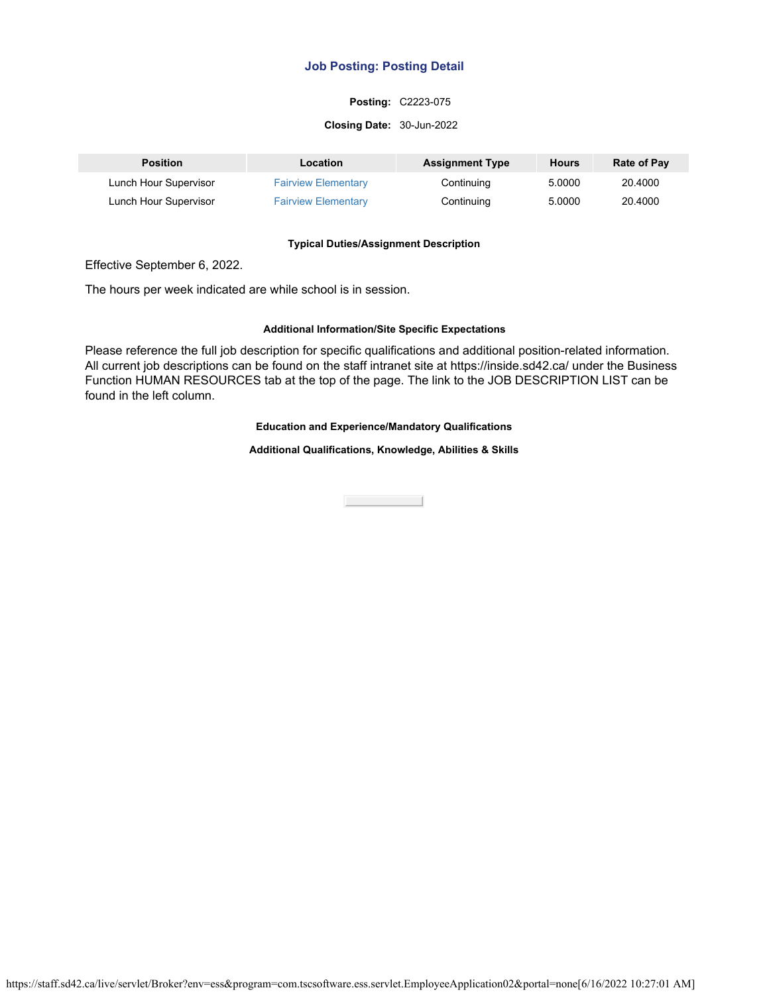## **Posting:** C2223-075

#### **Closing Date:** 30-Jun-2022

| <b>Position</b>       | Location                   | <b>Assignment Type</b> | <b>Hours</b> | Rate of Pay |
|-----------------------|----------------------------|------------------------|--------------|-------------|
| Lunch Hour Supervisor | <b>Fairview Elementary</b> | Continuing             | 5.0000       | 20.4000     |
| Lunch Hour Supervisor | <b>Fairview Elementary</b> | Continuing             | 5.0000       | 20.4000     |

#### **Typical Duties/Assignment Description**

Effective September 6, 2022.

The hours per week indicated are while school is in session.

### **Additional Information/Site Specific Expectations**

Please reference the full job description for specific qualifications and additional position-related information. All current job descriptions can be found on the staff intranet site at https://inside.sd42.ca/ under the Business Function HUMAN RESOURCES tab at the top of the page. The link to the JOB DESCRIPTION LIST can be found in the left column.

### **Education and Experience/Mandatory Qualifications**

**Additional Qualifications, Knowledge, Abilities & Skills**

**Close Contract Contract**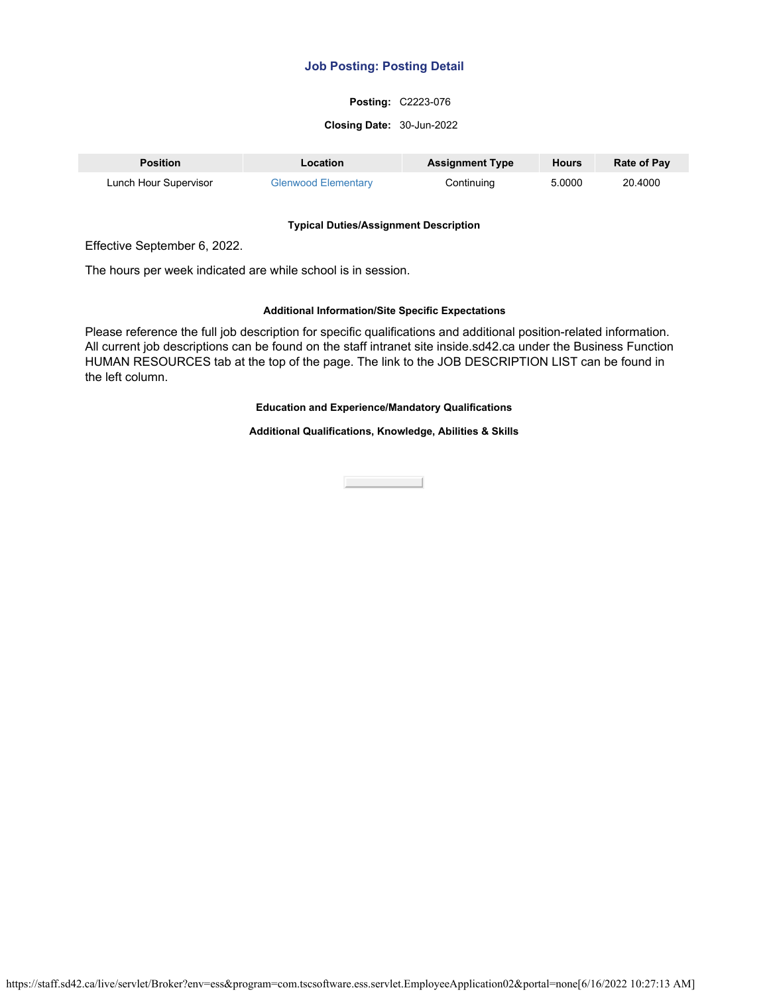## **Posting:** C2223-076

#### **Closing Date:** 30-Jun-2022

| <b>Position</b>       | Location                   | <b>Assignment Type</b> | Hours  | <b>Rate of Pay</b> |
|-----------------------|----------------------------|------------------------|--------|--------------------|
| Lunch Hour Supervisor | <b>Glenwood Elementary</b> | Continuing             | 5.0000 | 20.4000            |

#### **Typical Duties/Assignment Description**

Effective September 6, 2022.

The hours per week indicated are while school is in session.

### **Additional Information/Site Specific Expectations**

Please reference the full job description for specific qualifications and additional position-related information. All current job descriptions can be found on the staff intranet site inside.sd42.ca under the Business Function HUMAN RESOURCES tab at the top of the page. The link to the JOB DESCRIPTION LIST can be found in the left column.

## **Education and Experience/Mandatory Qualifications**

**Additional Qualifications, Knowledge, Abilities & Skills**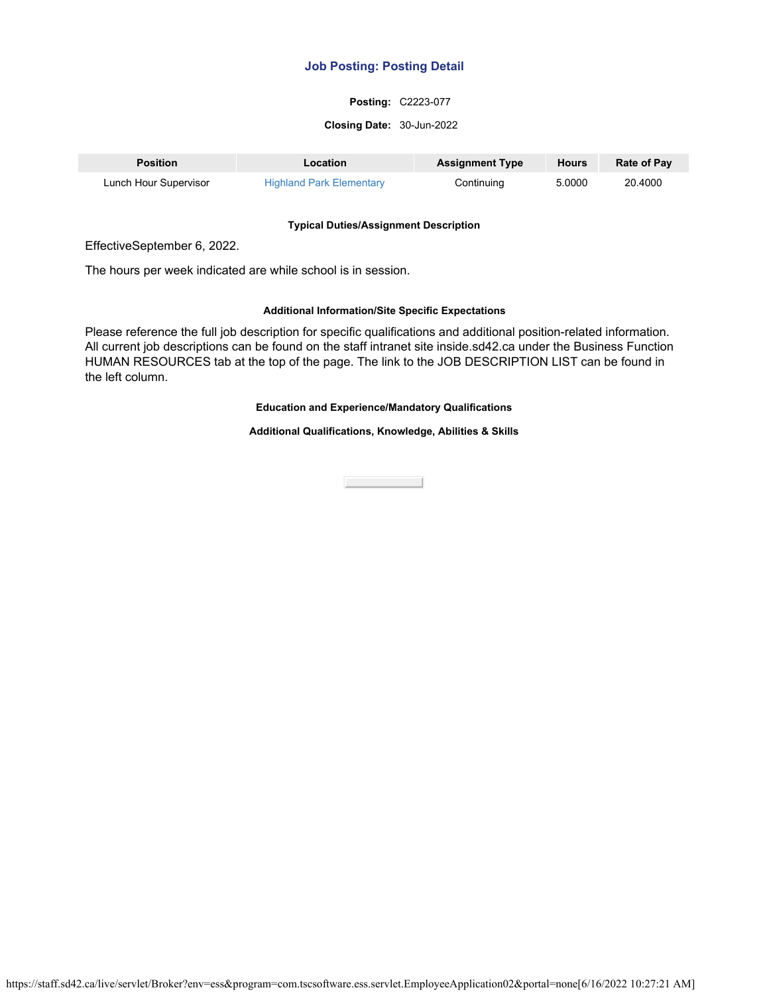## **Posting:** C2223-077

#### **Closing Date:** 30-Jun-2022

| <b>Position</b>       | Location                        | <b>Assignment Type</b> | <b>Hours</b> | <b>Rate of Pay</b> |
|-----------------------|---------------------------------|------------------------|--------------|--------------------|
| Lunch Hour Supervisor | <b>Highland Park Elementary</b> | Continuing             | 5.0000       | 20.4000            |

#### **Typical Duties/Assignment Description**

EffectiveSeptember 6, 2022.

The hours per week indicated are while school is in session.

## **Additional Information/Site Specific Expectations**

Please reference the full job description for specific qualifications and additional position-related information. All current job descriptions can be found on the staff intranet site inside.sd42.ca under the Business Function HUMAN RESOURCES tab at the top of the page. The link to the JOB DESCRIPTION LIST can be found in the left column.

## **Education and Experience/Mandatory Qualifications**

**Additional Qualifications, Knowledge, Abilities & Skills**

**Close Contract Contract**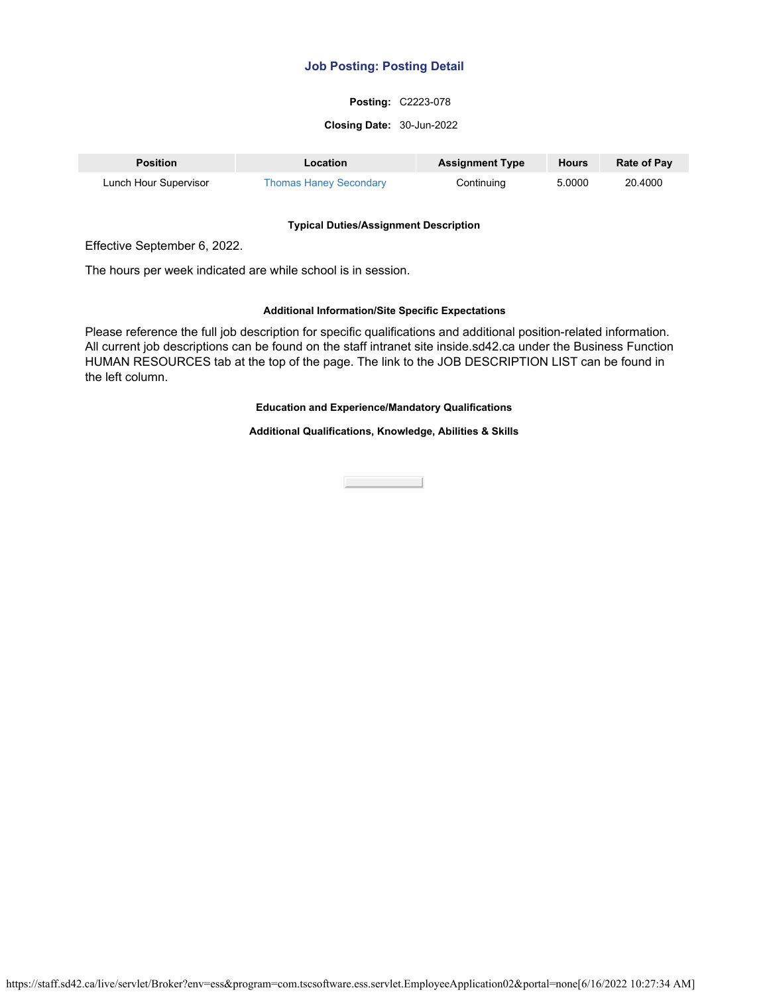## **Posting:** C2223-078

#### **Closing Date:** 30-Jun-2022

| <b>Position</b>       | Location                      | <b>Assignment Type</b> | Hours  | <b>Rate of Pay</b> |
|-----------------------|-------------------------------|------------------------|--------|--------------------|
| Lunch Hour Supervisor | <b>Thomas Haney Secondary</b> | Continuing             | 5.0000 | 20.4000            |

#### **Typical Duties/Assignment Description**

Effective September 6, 2022.

The hours per week indicated are while school is in session.

#### **Additional Information/Site Specific Expectations**

Please reference the full job description for specific qualifications and additional position-related information. All current job descriptions can be found on the staff intranet site inside.sd42.ca under the Business Function HUMAN RESOURCES tab at the top of the page. The link to the JOB DESCRIPTION LIST can be found in the left column.

## **Education and Experience/Mandatory Qualifications**

**Additional Qualifications, Knowledge, Abilities & Skills**

Close the Close

https://staff.sd42.ca/live/servlet/Broker?env=ess&program=com.tscsoftware.ess.servlet.EmployeeApplication02&portal=none[6/16/2022 10:27:34 AM]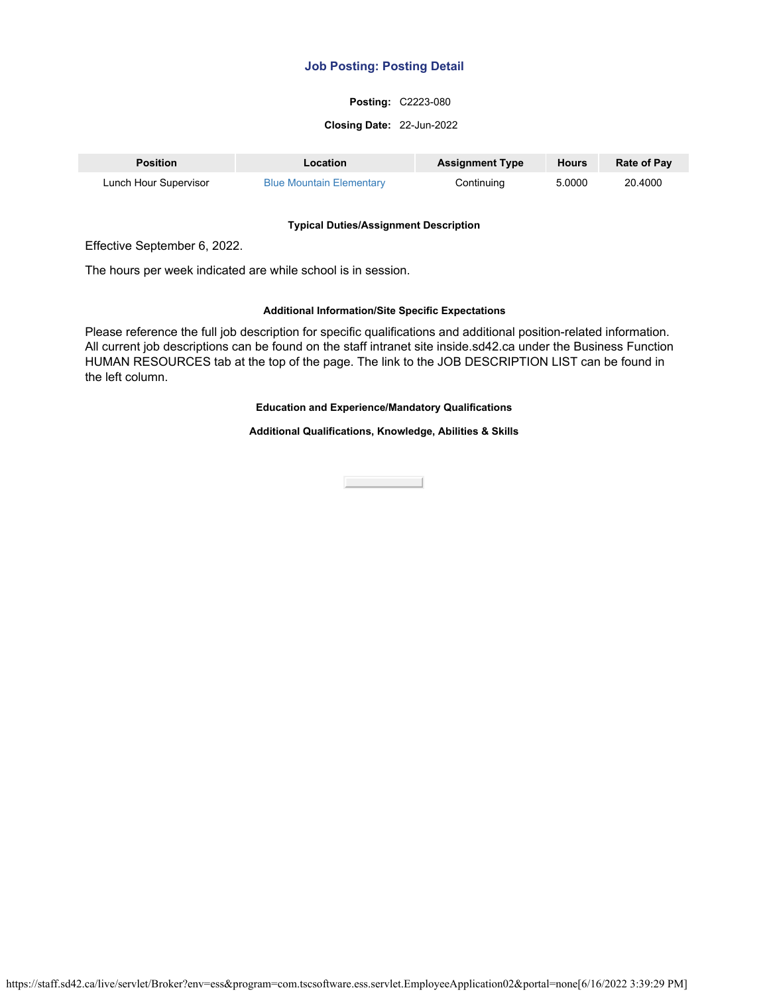## **Posting:** C2223-080

#### **Closing Date:** 22-Jun-2022

| <b>Position</b>       | Location                        | <b>Assignment Type</b> | Hours  | <b>Rate of Pay</b> |
|-----------------------|---------------------------------|------------------------|--------|--------------------|
| Lunch Hour Supervisor | <b>Blue Mountain Elementary</b> | Continuing             | 5.0000 | 20.4000            |

#### **Typical Duties/Assignment Description**

Effective September 6, 2022.

The hours per week indicated are while school is in session.

#### **Additional Information/Site Specific Expectations**

Please reference the full job description for specific qualifications and additional position-related information. All current job descriptions can be found on the staff intranet site inside.sd42.ca under the Business Function HUMAN RESOURCES tab at the top of the page. The link to the JOB DESCRIPTION LIST can be found in the left column.

## **Education and Experience/Mandatory Qualifications**

**Additional Qualifications, Knowledge, Abilities & Skills**

Close the Close

https://staff.sd42.ca/live/servlet/Broker?env=ess&program=com.tscsoftware.ess.servlet.EmployeeApplication02&portal=none[6/16/2022 3:39:29 PM]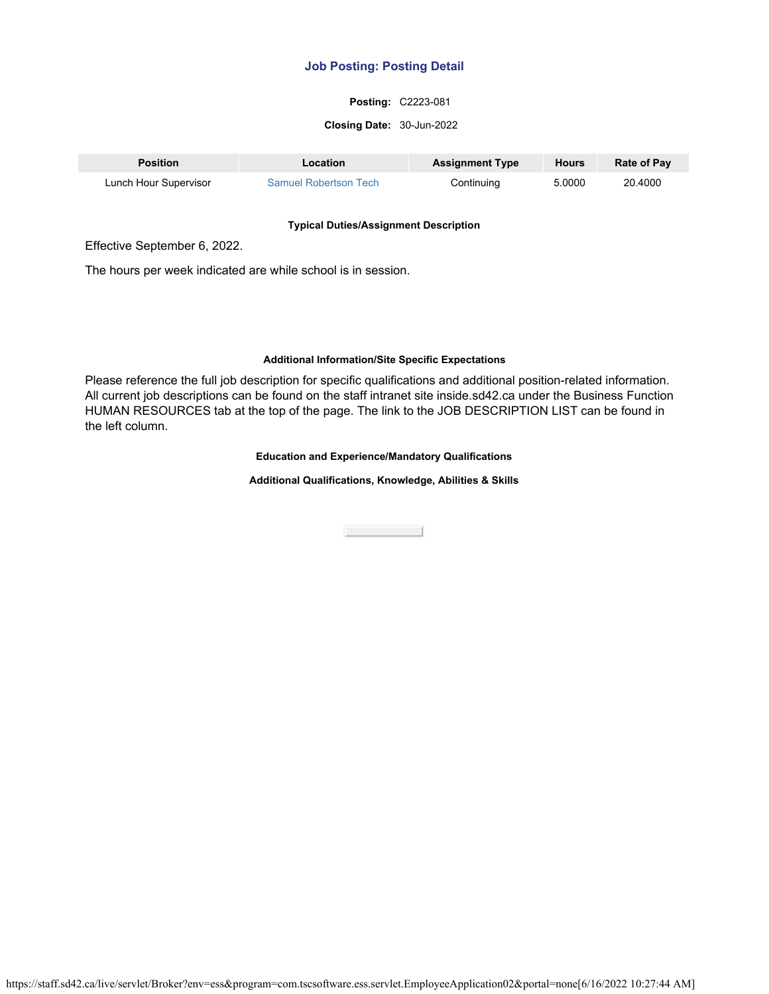## **Posting:** C2223-081

#### **Closing Date:** 30-Jun-2022

| Position              | <b>Location</b>              | <b>Assignment Type</b> | <b>Hours</b> | <b>Rate of Pay</b> |
|-----------------------|------------------------------|------------------------|--------------|--------------------|
| Lunch Hour Supervisor | <b>Samuel Robertson Tech</b> | Continuing             | 5.0000       | 20,4000            |

#### **Typical Duties/Assignment Description**

Effective September 6, 2022.

The hours per week indicated are while school is in session.

## **Additional Information/Site Specific Expectations**

Please reference the full job description for specific qualifications and additional position-related information. All current job descriptions can be found on the staff intranet site inside.sd42.ca under the Business Function HUMAN RESOURCES tab at the top of the page. The link to the JOB DESCRIPTION LIST can be found in the left column.

#### **Education and Experience/Mandatory Qualifications**

**Additional Qualifications, Knowledge, Abilities & Skills**

Close the Close of the Close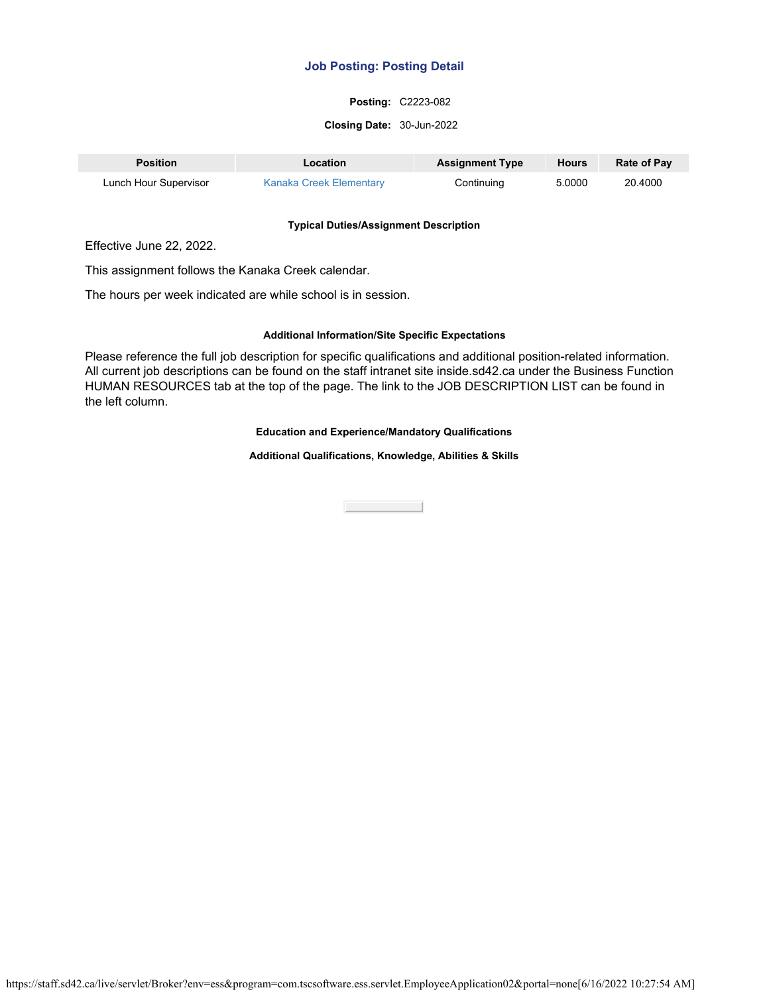## **Posting:** C2223-082

#### **Closing Date:** 30-Jun-2022

| <b>Position</b>       | Location                | <b>Assignment Type</b> | <b>Hours</b> | <b>Rate of Pay</b> |
|-----------------------|-------------------------|------------------------|--------------|--------------------|
| Lunch Hour Supervisor | Kanaka Creek Elementary | Continuing             | 5.0000       | 20.4000            |

#### **Typical Duties/Assignment Description**

Effective June 22, 2022.

This assignment follows the Kanaka Creek calendar.

The hours per week indicated are while school is in session.

#### **Additional Information/Site Specific Expectations**

Please reference the full job description for specific qualifications and additional position-related information. All current job descriptions can be found on the staff intranet site inside.sd42.ca under the Business Function HUMAN RESOURCES tab at the top of the page. The link to the JOB DESCRIPTION LIST can be found in the left column.

### **Education and Experience/Mandatory Qualifications**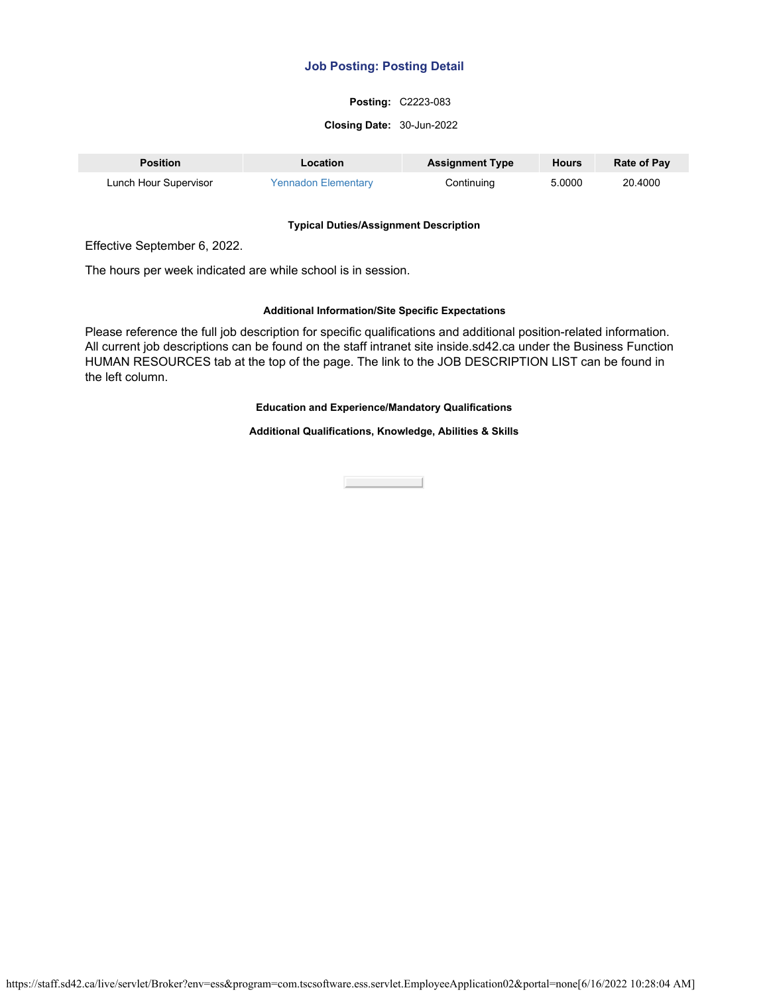## **Posting:** C2223-083

#### **Closing Date:** 30-Jun-2022

| <b>Position</b>       | Location                   | <b>Assignment Type</b> | <b>Hours</b> | <b>Rate of Pay</b> |
|-----------------------|----------------------------|------------------------|--------------|--------------------|
| Lunch Hour Supervisor | <b>Yennadon Elementary</b> | Continuing             | 5.0000       | 20.4000            |

#### **Typical Duties/Assignment Description**

Effective September 6, 2022.

The hours per week indicated are while school is in session.

### **Additional Information/Site Specific Expectations**

Please reference the full job description for specific qualifications and additional position-related information. All current job descriptions can be found on the staff intranet site inside.sd42.ca under the Business Function HUMAN RESOURCES tab at the top of the page. The link to the JOB DESCRIPTION LIST can be found in the left column.

## **Education and Experience/Mandatory Qualifications**

**Additional Qualifications, Knowledge, Abilities & Skills**